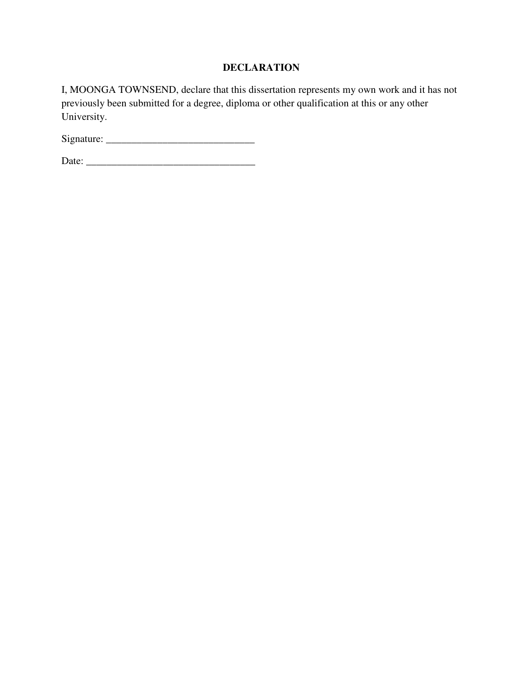### **DECLARATION**

I, MOONGA TOWNSEND, declare that this dissertation represents my own work and it has not previously been submitted for a degree, diploma or other qualification at this or any other University.

Signature: \_\_\_\_\_\_\_\_\_\_\_\_\_\_\_\_\_\_\_\_\_\_\_\_\_\_\_\_\_

Date: \_\_\_\_\_\_\_\_\_\_\_\_\_\_\_\_\_\_\_\_\_\_\_\_\_\_\_\_\_\_\_\_\_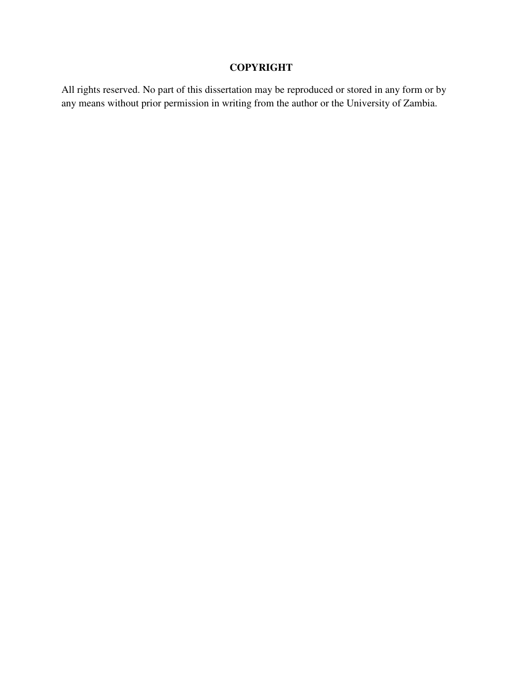# **COPYRIGHT**

All rights reserved. No part of this dissertation may be reproduced or stored in any form or by any means without prior permission in writing from the author or the University of Zambia.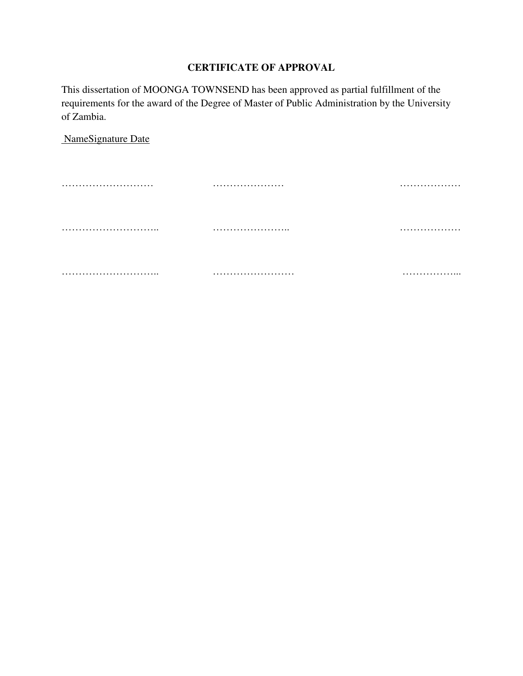### **CERTIFICATE OF APPROVAL**

This dissertation of MOONGA TOWNSEND has been approved as partial fulfillment of the requirements for the award of the Degree of Master of Public Administration by the University of Zambia.

NameSignature Date

……………………… ………………… ……………… ……………………….. ………………….. ……………… ……………………….. …………………… ……………...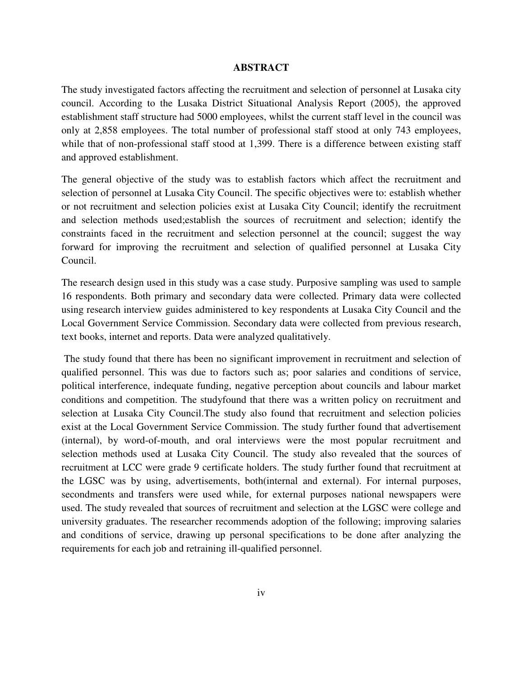#### **ABSTRACT**

The study investigated factors affecting the recruitment and selection of personnel at Lusaka city council. According to the Lusaka District Situational Analysis Report (2005), the approved establishment staff structure had 5000 employees, whilst the current staff level in the council was only at 2,858 employees. The total number of professional staff stood at only 743 employees, while that of non-professional staff stood at 1,399. There is a difference between existing staff and approved establishment.

The general objective of the study was to establish factors which affect the recruitment and selection of personnel at Lusaka City Council. The specific objectives were to: establish whether or not recruitment and selection policies exist at Lusaka City Council; identify the recruitment and selection methods used;establish the sources of recruitment and selection; identify the constraints faced in the recruitment and selection personnel at the council; suggest the way forward for improving the recruitment and selection of qualified personnel at Lusaka City Council.

The research design used in this study was a case study. Purposive sampling was used to sample 16 respondents. Both primary and secondary data were collected. Primary data were collected using research interview guides administered to key respondents at Lusaka City Council and the Local Government Service Commission. Secondary data were collected from previous research, text books, internet and reports. Data were analyzed qualitatively.

 The study found that there has been no significant improvement in recruitment and selection of qualified personnel. This was due to factors such as; poor salaries and conditions of service, political interference, indequate funding, negative perception about councils and labour market conditions and competition. The studyfound that there was a written policy on recruitment and selection at Lusaka City Council.The study also found that recruitment and selection policies exist at the Local Government Service Commission. The study further found that advertisement (internal), by word-of-mouth, and oral interviews were the most popular recruitment and selection methods used at Lusaka City Council. The study also revealed that the sources of recruitment at LCC were grade 9 certificate holders. The study further found that recruitment at the LGSC was by using, advertisements, both(internal and external). For internal purposes, secondments and transfers were used while, for external purposes national newspapers were used. The study revealed that sources of recruitment and selection at the LGSC were college and university graduates. The researcher recommends adoption of the following; improving salaries and conditions of service, drawing up personal specifications to be done after analyzing the requirements for each job and retraining ill-qualified personnel.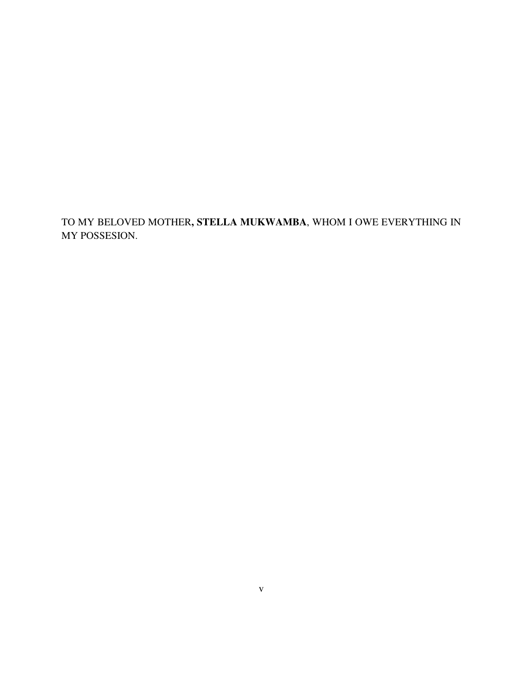TO MY BELOVED MOTHER**, STELLA MUKWAMBA**, WHOM I OWE EVERYTHING IN MY POSSESION.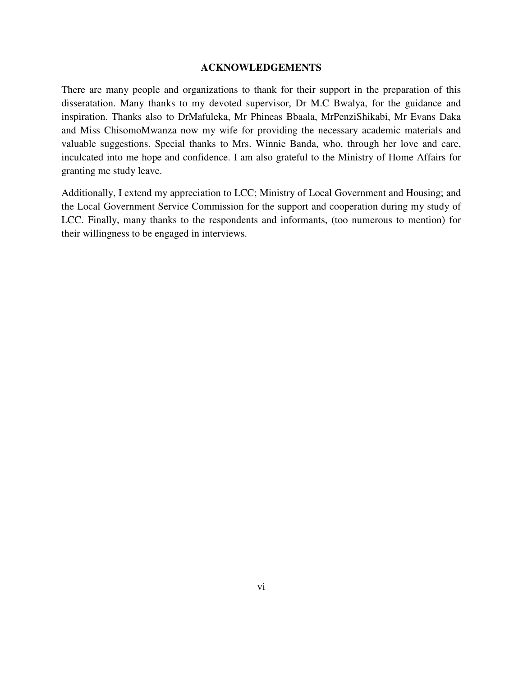### **ACKNOWLEDGEMENTS**

There are many people and organizations to thank for their support in the preparation of this disseratation. Many thanks to my devoted supervisor, Dr M.C Bwalya, for the guidance and inspiration. Thanks also to DrMafuleka, Mr Phineas Bbaala, MrPenziShikabi, Mr Evans Daka and Miss ChisomoMwanza now my wife for providing the necessary academic materials and valuable suggestions. Special thanks to Mrs. Winnie Banda, who, through her love and care, inculcated into me hope and confidence. I am also grateful to the Ministry of Home Affairs for granting me study leave.

Additionally, I extend my appreciation to LCC; Ministry of Local Government and Housing; and the Local Government Service Commission for the support and cooperation during my study of LCC. Finally, many thanks to the respondents and informants, (too numerous to mention) for their willingness to be engaged in interviews.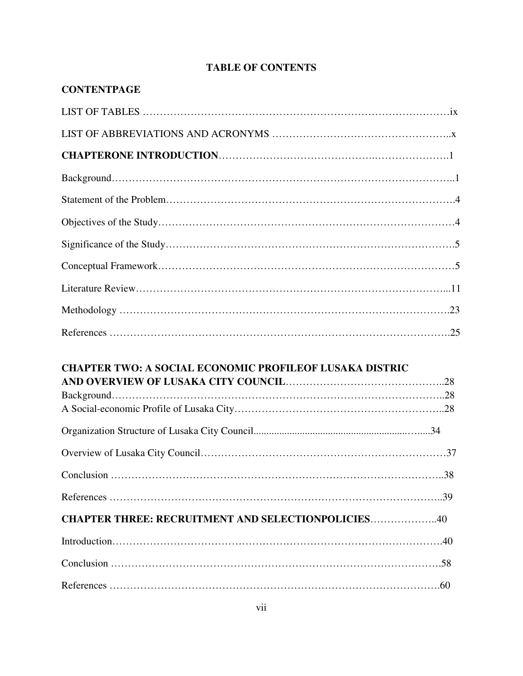# **TABLE OF CONTENTS**

| <b>CONTENTPAGE</b>                                             |  |
|----------------------------------------------------------------|--|
|                                                                |  |
|                                                                |  |
|                                                                |  |
|                                                                |  |
|                                                                |  |
|                                                                |  |
|                                                                |  |
|                                                                |  |
|                                                                |  |
|                                                                |  |
|                                                                |  |
| <b>CHAPTER TWO: A SOCIAL ECONOMIC PROFILEOF LUSAKA DISTRIC</b> |  |
|                                                                |  |
|                                                                |  |
|                                                                |  |
|                                                                |  |
|                                                                |  |
| <b>CHAPTER THREE: RECRUITMENT AND SELECTIONPOLICIES40</b>      |  |
|                                                                |  |
|                                                                |  |
|                                                                |  |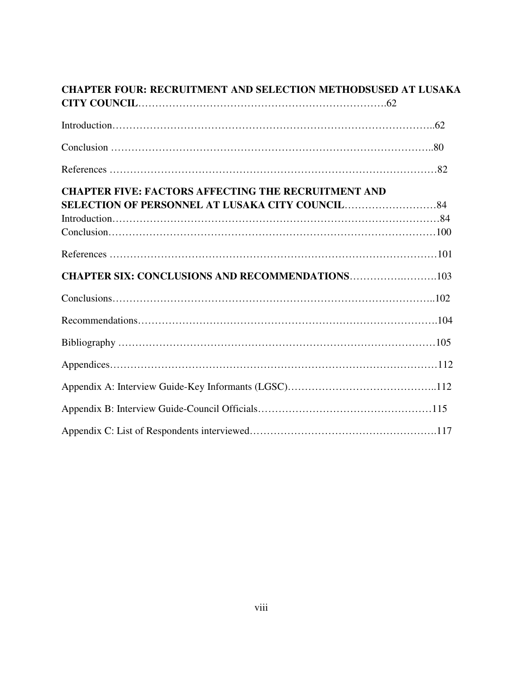| <b>CHAPTER FOUR: RECRUITMENT AND SELECTION METHODSUSED AT LUSAKA</b> |  |  |
|----------------------------------------------------------------------|--|--|
|                                                                      |  |  |
|                                                                      |  |  |
|                                                                      |  |  |
|                                                                      |  |  |
| <b>CHAPTER FIVE: FACTORS AFFECTING THE RECRUITMENT AND</b>           |  |  |
|                                                                      |  |  |
|                                                                      |  |  |
|                                                                      |  |  |
|                                                                      |  |  |
| <b>CHAPTER SIX: CONCLUSIONS AND RECOMMENDATIONS103</b>               |  |  |
|                                                                      |  |  |
|                                                                      |  |  |
|                                                                      |  |  |
|                                                                      |  |  |
|                                                                      |  |  |
|                                                                      |  |  |
|                                                                      |  |  |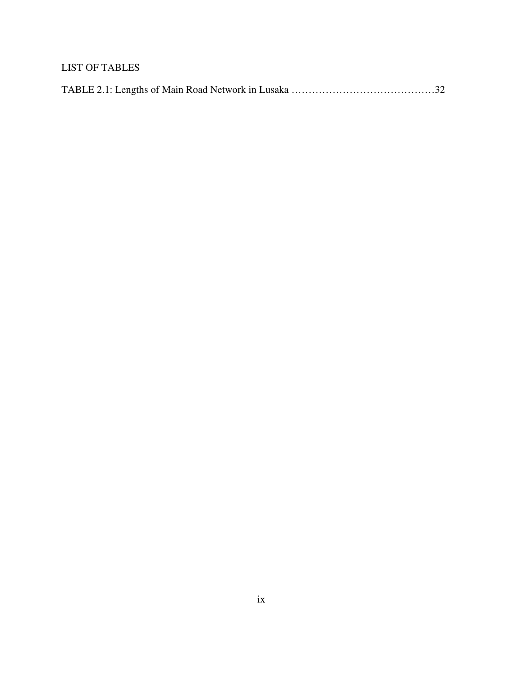# LIST OF TABLES

|--|--|--|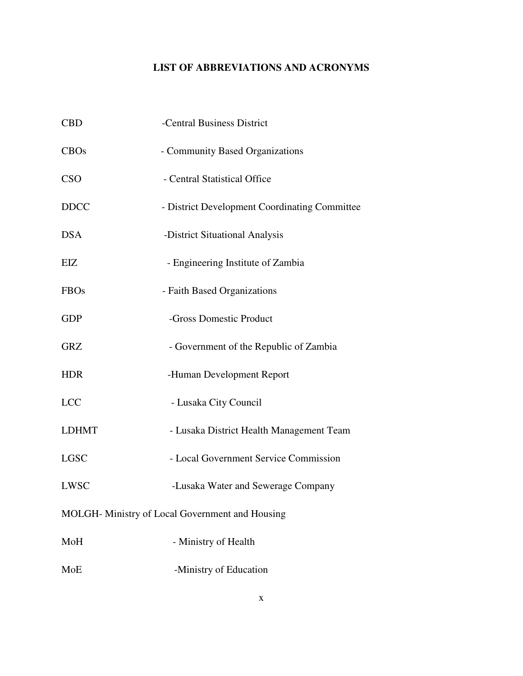# **LIST OF ABBREVIATIONS AND ACRONYMS**

| <b>CBD</b>                                      | -Central Business District                    |  |
|-------------------------------------------------|-----------------------------------------------|--|
| CBOs                                            | - Community Based Organizations               |  |
| <b>CSO</b>                                      | - Central Statistical Office                  |  |
| <b>DDCC</b>                                     | - District Development Coordinating Committee |  |
| <b>DSA</b>                                      | -District Situational Analysis                |  |
| EIZ                                             | - Engineering Institute of Zambia             |  |
| <b>FBOs</b>                                     | - Faith Based Organizations                   |  |
| <b>GDP</b>                                      | -Gross Domestic Product                       |  |
| <b>GRZ</b>                                      | - Government of the Republic of Zambia        |  |
| <b>HDR</b>                                      | -Human Development Report                     |  |
| <b>LCC</b>                                      | - Lusaka City Council                         |  |
| <b>LDHMT</b>                                    | - Lusaka District Health Management Team      |  |
| <b>LGSC</b>                                     | - Local Government Service Commission         |  |
| <b>LWSC</b>                                     | -Lusaka Water and Sewerage Company            |  |
| MOLGH- Ministry of Local Government and Housing |                                               |  |
| MoH                                             | - Ministry of Health                          |  |
| MoE                                             | -Ministry of Education                        |  |